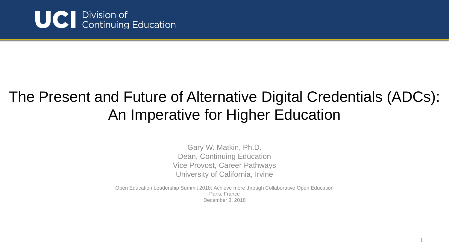

#### The Present and Future of Alternative Digital Credentials (ADCs): An Imperative for Higher Education

Gary W. Matkin, Ph.D. Dean, Continuing Education Vice Provost, Career Pathways University of California, Irvine

Open Education Leadership Summit 2018: Achieve more through Collaborative Open Education Paris, France December 3, 2018

1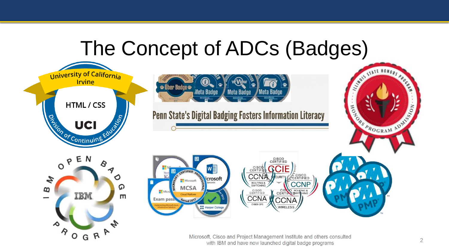## The Concept of ADCs (Badges)



Microsoft, Cisco and Project Management Institute and others consulted with IBM and have now launched digital badge programs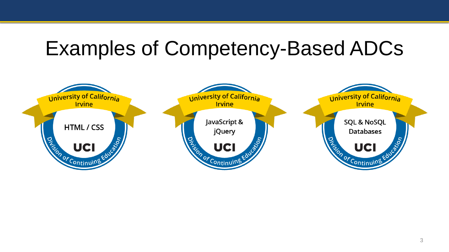#### Examples of Competency-Based ADCs

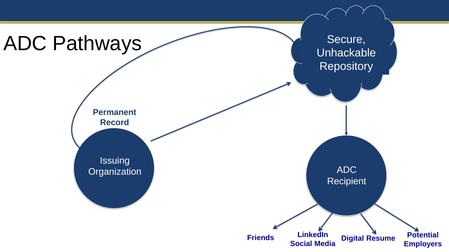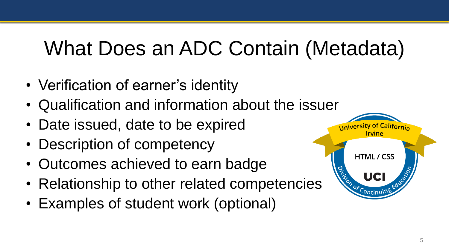# What Does an ADC Contain (Metadata)

- Verification of earner's identity
- Qualification and information about the issuer
- Date issued, date to be expired
- Description of competency
- Outcomes achieved to earn badge
- Relationship to other related competencies
- Examples of student work (optional)

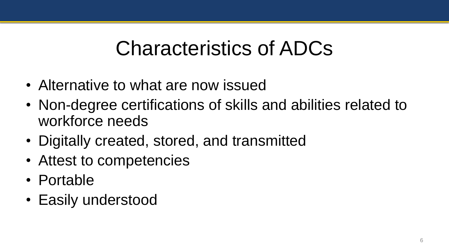## Characteristics of ADCs

- Alternative to what are now issued
- Non-degree certifications of skills and abilities related to workforce needs
- Digitally created, stored, and transmitted
- Attest to competencies
- Portable
- Easily understood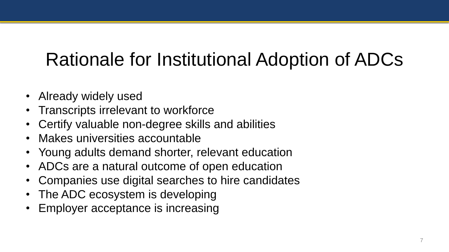## Rationale for Institutional Adoption of ADCs

- Already widely used
- Transcripts irrelevant to workforce
- Certify valuable non-degree skills and abilities
- Makes universities accountable
- Young adults demand shorter, relevant education
- ADCs are a natural outcome of open education
- Companies use digital searches to hire candidates
- The ADC ecosystem is developing
- Employer acceptance is increasing